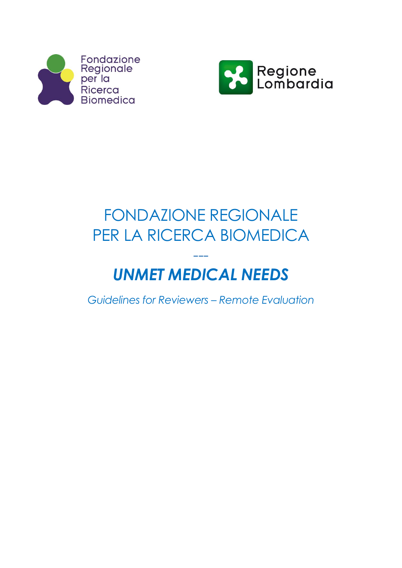



# FONDAZIONE REGIONALE PER LA RICERCA BIOMEDICA

# --- *UNMET MEDICAL NEEDS*

*Guidelines for Reviewers – Remote Evaluation*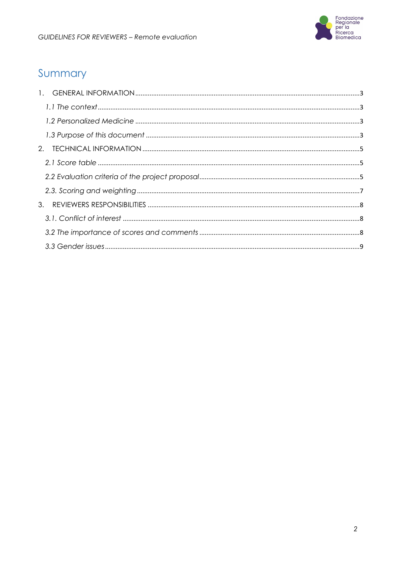

# Summary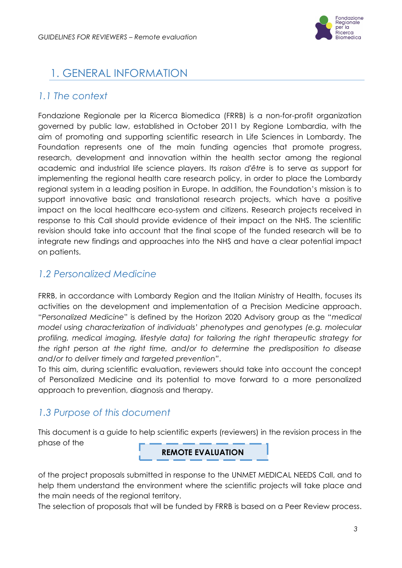

# <span id="page-2-0"></span>1. GENERAL INFORMATION

# <span id="page-2-1"></span>*1.1 The context*

Fondazione Regionale per la Ricerca Biomedica (FRRB) is a non-for-profit organization governed by public law, established in October 2011 by Regione Lombardia, with the aim of promoting and supporting scientific research in Life Sciences in Lombardy. The Foundation represents one of the main funding agencies that promote progress, research, development and innovation within the health sector among the regional academic and industrial life science players. Its *raison d'être* is to serve as support for implementing the regional health care research policy, in order to place the Lombardy regional system in a leading position in Europe. In addition, the Foundation's mission is to support innovative basic and translational research projects, which have a positive impact on the local healthcare eco-system and citizens. Research projects received in response to this Call should provide evidence of their impact on the NHS. The scientific revision should take into account that the final scope of the funded research will be to integrate new findings and approaches into the NHS and have a clear potential impact on patients.

### <span id="page-2-2"></span>*1.2 Personalized Medicine*

FRRB, in accordance with Lombardy Region and the Italian Ministry of Health, focuses its activities on the development and implementation of a Precision Medicine approach. "*Personalized Medicine*" is defined by the Horizon 2020 Advisory group as the "*medical model using characterization of individuals' phenotypes and genotypes (e.g. molecular profiling, medical imaging, lifestyle data) for tailoring the right therapeutic strategy for the right person at the right time, and/or to determine the predisposition to disease and/or to deliver timely and targeted prevention"*.

To this aim, during scientific evaluation, reviewers should take into account the concept of Personalized Medicine and its potential to move forward to a more personalized approach to prevention, diagnosis and therapy.

## <span id="page-2-3"></span>*1.3 Purpose of this document*

This document is a guide to help scientific experts (reviewers) in the revision process in the phase of the

**REMOTE EVALUATION**

of the project proposals submitted in response to the UNMET MEDICAL NEEDS Call, and to help them understand the environment where the scientific projects will take place and the main needs of the regional territory.

The selection of proposals that will be funded by FRRB is based on a Peer Review process.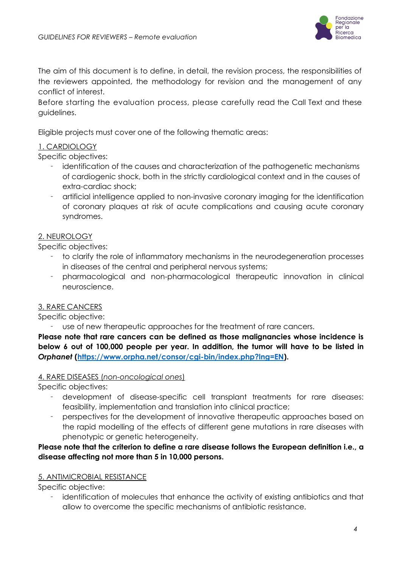

The aim of this document is to define, in detail, the revision process, the responsibilities of the reviewers appointed, the methodology for revision and the management of any conflict of interest.

Before starting the evaluation process, please carefully read the Call Text and these guidelines.

Eligible projects must cover one of the following thematic areas:

### 1. CARDIOLOGY

Specific objectives:

- identification of the causes and characterization of the pathogenetic mechanisms of cardiogenic shock, both in the strictly cardiological context and in the causes of extra-cardiac shock;
- artificial intelligence applied to non-invasive coronary imaging for the identification of coronary plaques at risk of acute complications and causing acute coronary syndromes.

### 2. NEUROLOGY

Specific objectives:

- to clarify the role of inflammatory mechanisms in the neurodegeneration processes in diseases of the central and peripheral nervous systems;
- pharmacological and non-pharmacological therapeutic innovation in clinical neuroscience.

### 3. RARE CANCERS

Specific objective:

use of new therapeutic approaches for the treatment of rare cancers.

**Please note that rare cancers can be defined as those malignancies whose incidence is below 6 out of 100,000 people per year. In addition, the tumor will have to be listed in**  *Orphanet* **[\(https://www.orpha.net/consor/cgi-bin/index.php?lng=EN\)](https://www.orpha.net/consor/cgi-bin/index.php?lng=EN).**

### 4. RARE DISEASES (*non-oncological ones*)

Specific objectives:

- development of disease-specific cell transplant treatments for rare diseases: feasibility, implementation and translation into clinical practice;
- perspectives for the development of innovative therapeutic approaches based on the rapid modelling of the effects of different gene mutations in rare diseases with phenotypic or genetic heterogeneity.

### **Please note that the criterion to define a rare disease follows the European definition i.e., a disease affecting not more than 5 in 10,000 persons.**

### 5. ANTIMICROBIAL RESISTANCE

Specific objective:

 identification of molecules that enhance the activity of existing antibiotics and that allow to overcome the specific mechanisms of antibiotic resistance.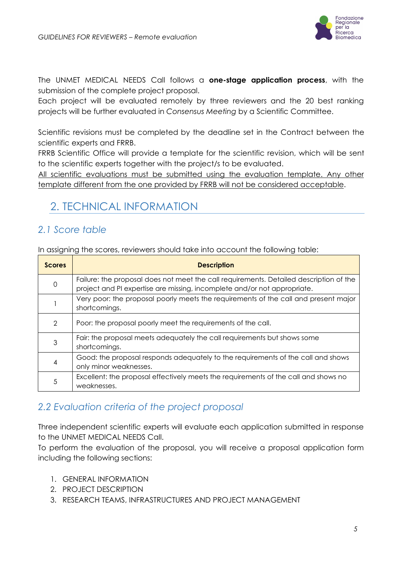

The UNMET MEDICAL NEEDS Call follows a **one-stage application process**, with the submission of the complete project proposal.

Each project will be evaluated remotely by three reviewers and the 20 best ranking projects will be further evaluated in *Consensus Meeting* by a Scientific Committee.

Scientific revisions must be completed by the deadline set in the Contract between the scientific experts and FRRB.

FRRB Scientific Office will provide a template for the scientific revision, which will be sent to the scientific experts together with the project/s to be evaluated.

All scientific evaluations must be submitted using the evaluation template. Any other template different from the one provided by FRRB will not be considered acceptable.

# <span id="page-4-0"></span>2. TECHNICAL INFORMATION

## <span id="page-4-1"></span>*2.1 Score table*

In assigning the scores, reviewers should take into account the following table:

| <b>Scores</b> | <b>Description</b>                                                                                                                                                 |
|---------------|--------------------------------------------------------------------------------------------------------------------------------------------------------------------|
| 0             | Failure: the proposal does not meet the call requirements. Detailed description of the<br>project and PI expertise are missing, incomplete and/or not appropriate. |
|               | Very poor: the proposal poorly meets the requirements of the call and present major<br>shortcomings.                                                               |
| $\mathcal{P}$ | Poor: the proposal poorly meet the requirements of the call.                                                                                                       |
| 3             | Fair: the proposal meets adequately the call requirements but shows some<br>shortcomings.                                                                          |
| 4             | Good: the proposal responds adequately to the requirements of the call and shows<br>only minor weaknesses.                                                         |
| 5             | Excellent: the proposal effectively meets the requirements of the call and shows no<br>weaknesses.                                                                 |

## <span id="page-4-2"></span>*2.2 Evaluation criteria of the project proposal*

Three independent scientific experts will evaluate each application submitted in response to the UNMET MEDICAL NEEDS Call.

To perform the evaluation of the proposal, you will receive a proposal application form including the following sections:

- 1. GENERAL INFORMATION
- 2. PROJECT DESCRIPTION
- 3. RESEARCH TEAMS, INFRASTRUCTURES AND PROJECT MANAGEMENT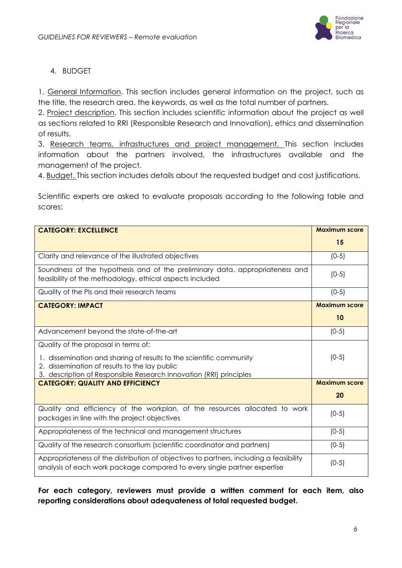

### 4. BUDGET

1. General Information. This section includes general information on the project, such as the title, the research area, the keywords, as well as the total number of partners.

2. Project description. This section includes scientific information about the project as well as sections related to RRI (Responsible Research and Innovation), ethics and dissemination of results.

3. Research teams, infrastructures and project management. This section includes information about the partners involved, the infrastructures available and the management of the project.

4. Budget. This section includes details about the requested budget and cost justifications.

Scientific experts are asked to evaluate proposals according to the following table and scores:

| <b>CATEGORY: EXCELLENCE</b>                                                                                                                                                                | <b>Maximum score</b> |
|--------------------------------------------------------------------------------------------------------------------------------------------------------------------------------------------|----------------------|
|                                                                                                                                                                                            | 15                   |
| Clarity and relevance of the illustrated objectives                                                                                                                                        | $(0-5)$              |
| Soundness of the hypothesis and of the preliminary data, appropriateness and<br>feasibility of the methodology, ethical aspects included                                                   | $(0-5)$              |
| Quality of the PIs and their research teams                                                                                                                                                | $(0-5)$              |
| <b>CATEGORY: IMPACT</b>                                                                                                                                                                    | <b>Maximum score</b> |
|                                                                                                                                                                                            | 10                   |
| Advancement beyond the state-of-the-art                                                                                                                                                    | $(0-5)$              |
| Quality of the proposal in terms of:                                                                                                                                                       |                      |
| 1. dissemination and sharing of results to the scientific community<br>2. dissemination of results to the lay public<br>3. description of Responsible Research Innovation (RRI) principles | $(0-5)$              |
| <b>CATEGORY: QUALITY AND EFFICIENCY</b>                                                                                                                                                    | <b>Maximum score</b> |
|                                                                                                                                                                                            | 20                   |
| Quality and efficiency of the workplan, of the resources allocated to work<br>packages in line with the project objectives                                                                 | $(0-5)$              |
| Appropriateness of the technical and management structures                                                                                                                                 | $(0-5)$              |
| Quality of the research consortium (scientific coordinator and partners)                                                                                                                   | $(0-5)$              |
| Appropriateness of the distribution of objectives to partners, including a feasibility<br>analysis of each work package compared to every single partner expertise                         | $(0-5)$              |

**For each category, reviewers must provide a written comment for each item, also reporting considerations about adequateness of total requested budget.**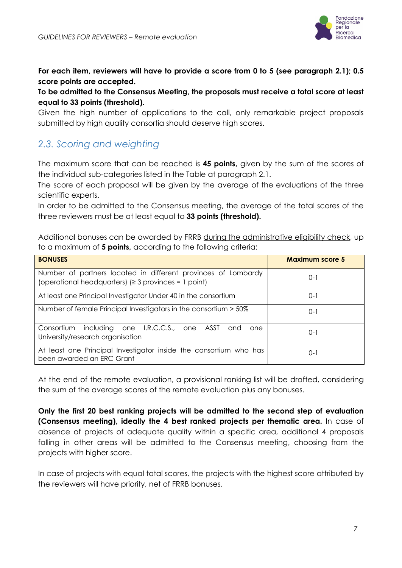

### **For each item, reviewers will have to provide a score from 0 to 5 (see paragraph 2.1); 0.5 score points are accepted.**

**To be admitted to the Consensus Meeting, the proposals must receive a total score at least equal to 33 points (threshold).**

Given the high number of applications to the call, only remarkable project proposals submitted by high quality consortia should deserve high scores.

# <span id="page-6-0"></span>*2.3. Scoring and weighting*

The maximum score that can be reached is **45 points,** given by the sum of the scores of the individual sub-categories listed in the Table at paragraph 2.1.

The score of each proposal will be given by the average of the evaluations of the three scientific experts.

In order to be admitted to the Consensus meeting, the average of the total scores of the three reviewers must be at least equal to **33 points (threshold).**

Additional bonuses can be awarded by FRRB during the administrative eligibility check, up to a maximum of **5 points,** according to the following criteria:

| <b>BONUSES</b>                                                                                                          | <b>Maximum score 5</b> |
|-------------------------------------------------------------------------------------------------------------------------|------------------------|
| Number of partners located in different provinces of Lombardy<br>(operational headquarters) $(≥ 3$ provinces = 1 point) | $0 - 1$                |
| At least one Principal Investigator Under 40 in the consortium                                                          | $O-1$                  |
| Number of female Principal Investigators in the consortium > 50%                                                        | 0-1                    |
| Consortium including one I.R.C.C.S., one ASST and<br>one<br>University/research organisation                            | 0-1                    |
| At least one Principal Investigator inside the consortium who has<br>been awarded an ERC Grant                          | 0-1                    |

At the end of the remote evaluation, a provisional ranking list will be drafted, considering the sum of the average scores of the remote evaluation plus any bonuses.

**Only the first 20 best ranking projects will be admitted to the second step of evaluation (Consensus meeting), ideally the 4 best ranked projects per thematic area.** In case of absence of projects of adequate quality within a specific area, additional 4 proposals falling in other areas will be admitted to the Consensus meeting, choosing from the projects with higher score.

In case of projects with equal total scores, the projects with the highest score attributed by the reviewers will have priority, net of FRRB bonuses.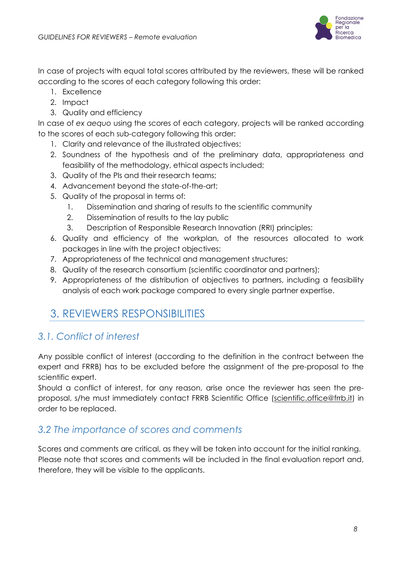

In case of projects with equal total scores attributed by the reviewers, these will be ranked according to the scores of each category following this order:

- 1. Excellence
- 2. Impact
- 3. Quality and efficiency

In case of *ex aequo* using the scores of each category, projects will be ranked according to the scores of each sub-category following this order:

- 1. Clarity and relevance of the illustrated objectives;
- 2. Soundness of the hypothesis and of the preliminary data, appropriateness and feasibility of the methodology, ethical aspects included;
- 3. Quality of the PIs and their research teams;
- 4. Advancement beyond the state-of-the-art;
- 5. Quality of the proposal in terms of:
	- 1. Dissemination and sharing of results to the scientific community
	- 2. Dissemination of results to the lay public
	- 3. Description of Responsible Research Innovation (RRI) principles;
- 6. Quality and efficiency of the workplan, of the resources allocated to work packages in line with the project objectives;
- 7. Appropriateness of the technical and management structures;
- 8. Quality of the research consortium (scientific coordinator and partners);
- 9. Appropriateness of the distribution of objectives to partners, including a feasibility analysis of each work package compared to every single partner expertise.

# <span id="page-7-0"></span>3. REVIEWERS RESPONSIBILITIES

# <span id="page-7-1"></span>*3.1. Conflict of interest*

Any possible conflict of interest (according to the definition in the contract between the expert and FRRB) has to be excluded before the assignment of the pre-proposal to the scientific expert.

Should a conflict of interest, for any reason, arise once the reviewer has seen the pre-proposal, s/he must immediately contact FRRB Scientific Office [\(scientific.office@frrb.it\)](mailto:scientific.office@frrb.it) in order to be replaced.

## <span id="page-7-2"></span>*3.2 The importance of scores and comments*

Scores and comments are critical, as they will be taken into account for the initial ranking. Please note that scores and comments will be included in the final evaluation report and, therefore, they will be visible to the applicants.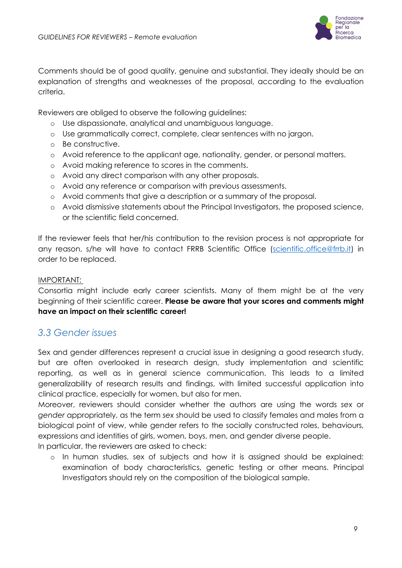

Comments should be of good quality, genuine and substantial. They ideally should be an explanation of strengths and weaknesses of the proposal, according to the evaluation criteria.

Reviewers are obliged to observe the following guidelines:

- o Use dispassionate, analytical and unambiguous language.
- o Use grammatically correct, complete, clear sentences with no jargon.
- o Be constructive.
- o Avoid reference to the applicant age, nationality, gender, or personal matters.
- o Avoid making reference to scores in the comments.
- o Avoid any direct comparison with any other proposals.
- o Avoid any reference or comparison with previous assessments.
- o Avoid comments that give a description or a summary of the proposal.
- o Avoid dismissive statements about the Principal Investigators, the proposed science, or the scientific field concerned.

If the reviewer feels that her/his contribution to the revision process is not appropriate for any reason, s/he will have to contact FRRB Scientific Office [\(scientific.office@frrb.it\)](mailto:scientific.office@frrb.it) in order to be replaced.

### IMPORTANT:

Consortia might include early career scientists. Many of them might be at the very beginning of their scientific career. **Please be aware that your scores and comments might have an impact on their scientific career!** 

### <span id="page-8-0"></span>*3.3 Gender issues*

Sex and gender differences represent a crucial issue in designing a good research study, but are often overlooked in research design, study implementation and scientific reporting, as well as in general science communication. This leads to a limited generalizability of research results and findings, with limited successful application into clinical practice, especially for women, but also for men.

Moreover, reviewers should consider whether the authors are using the words *sex* or *gender* appropriately, as the term *sex* should be used to classify females and males from a biological point of view, while gender refers to the socially constructed roles, behaviours, expressions and identities of girls, women, boys, men, and gender diverse people.

In particular, the reviewers are asked to check:

o In human studies, sex of subjects and how it is assigned should be explained: examination of body characteristics, genetic testing or other means. Principal Investigators should rely on the composition of the biological sample.